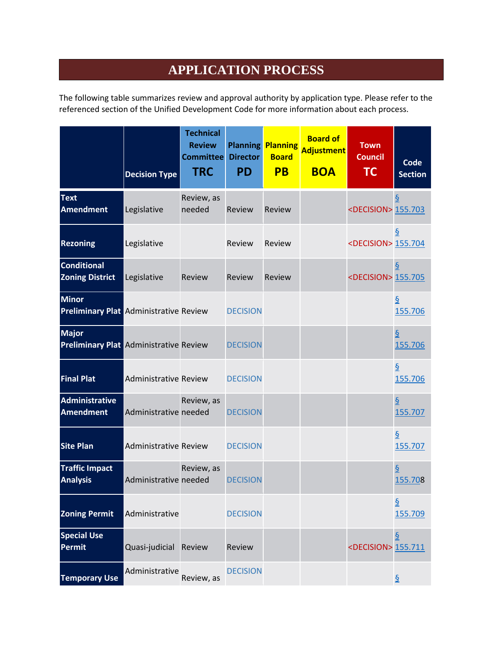# **APPLICATION PROCESS**

The following table summarizes review and approval authority by application type. Please refer to the referenced section of the Unified Development Code for more information about each process.

|                                                               | <b>Decision Type</b>         | <b>Technical</b><br><b>Review</b><br><b>Committee</b><br><b>TRC</b> | <b>Planning</b><br><b>Director</b><br><b>PD</b> | <b>Planning</b><br><b>Board</b><br><b>PB</b> | <b>Board of</b><br><b>Adjustment</b><br><b>BOA</b> | <b>Town</b><br><b>Council</b><br><b>TC</b> | <b>Code</b><br><b>Section</b>                   |
|---------------------------------------------------------------|------------------------------|---------------------------------------------------------------------|-------------------------------------------------|----------------------------------------------|----------------------------------------------------|--------------------------------------------|-------------------------------------------------|
| <b>Text</b><br><b>Amendment</b>                               | Legislative                  | Review, as<br>needed                                                | Review                                          | Review                                       |                                                    | <decision> 155.703</decision>              |                                                 |
| <b>Rezoning</b>                                               | Legislative                  |                                                                     | Review                                          | Review                                       |                                                    | <decision> 155.704</decision>              |                                                 |
| <b>Conditional</b><br><b>Zoning District</b>                  | Legislative                  | Review                                                              | Review                                          | Review                                       |                                                    | <decision> 155.705</decision>              |                                                 |
| <b>Minor</b><br><b>Preliminary Plat Administrative Review</b> |                              |                                                                     | <b>DECISION</b>                                 |                                              |                                                    |                                            | 155.706                                         |
| <b>Major</b><br><b>Preliminary Plat Administrative Review</b> |                              |                                                                     | <b>DECISION</b>                                 |                                              |                                                    |                                            | 155.706                                         |
| <b>Final Plat</b>                                             | <b>Administrative Review</b> |                                                                     | <b>DECISION</b>                                 |                                              |                                                    |                                            | 155.706                                         |
| <b>Administrative</b><br><b>Amendment</b>                     | Administrative needed        | Review, as                                                          | <b>DECISION</b>                                 |                                              |                                                    |                                            | 155.707                                         |
| <b>Site Plan</b>                                              | <b>Administrative Review</b> |                                                                     | <b>DECISION</b>                                 |                                              |                                                    |                                            | 155.707                                         |
| <b>Traffic Impact</b><br><b>Analysis</b>                      | Administrative needed        | Review, as                                                          | <b>DECISION</b>                                 |                                              |                                                    |                                            | 155.708                                         |
| <b>Zoning Permit</b>                                          | Administrative               |                                                                     | <b>DECISION</b>                                 |                                              |                                                    |                                            | 155.709                                         |
| <b>Special Use</b><br>Permit                                  | Quasi-judicial               | Review                                                              | Review                                          |                                              |                                                    | <decision> 155.711</decision>              | $\underline{\underline{\underline{\varsigma}}}$ |
| <b>Temporary Use</b>                                          | Administrative               | Review, as                                                          | <b>DECISION</b>                                 |                                              |                                                    |                                            |                                                 |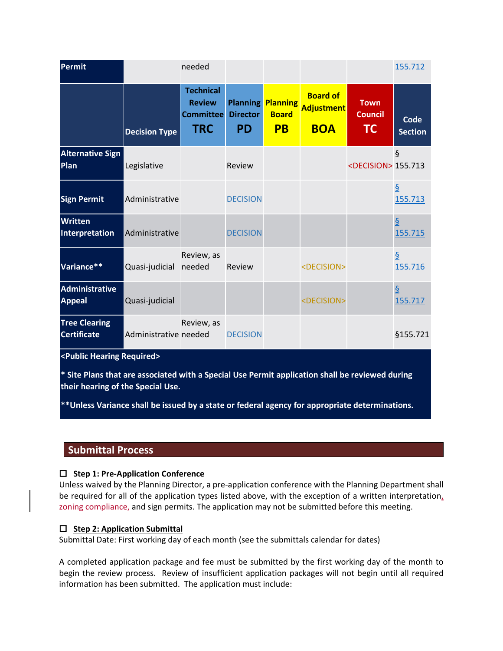| <b>Permit</b>                              |                       | needed                                                              |                                                 |                                              |                                                    |                                     | 155.712                   |
|--------------------------------------------|-----------------------|---------------------------------------------------------------------|-------------------------------------------------|----------------------------------------------|----------------------------------------------------|-------------------------------------|---------------------------|
|                                            | <b>Decision Type</b>  | <b>Technical</b><br><b>Review</b><br><b>Committee</b><br><b>TRC</b> | <b>Planning</b><br><b>Director</b><br><b>PD</b> | <b>Planning</b><br><b>Board</b><br><b>PB</b> | <b>Board of</b><br><b>Adjustment</b><br><b>BOA</b> | <b>Town</b><br><b>Council</b><br>TC | Code<br><b>Section</b>    |
| <b>Alternative Sign</b><br>Plan            | Legislative           |                                                                     | Review                                          |                                              |                                                    | <decision> 155.713</decision>       | $\S$                      |
| <b>Sign Permit</b>                         | Administrative        |                                                                     | <b>DECISION</b>                                 |                                              |                                                    |                                     | $\frac{6}{9}$<br>155.713  |
| <b>Written</b><br>Interpretation           | Administrative        |                                                                     | <b>DECISION</b>                                 |                                              |                                                    |                                     | 155.715                   |
| Variance**                                 | Quasi-judicial        | Review, as<br>needed                                                | Review                                          |                                              | <decision></decision>                              |                                     | 155.716                   |
| <b>Administrative</b><br><b>Appeal</b>     | Quasi-judicial        |                                                                     |                                                 |                                              | <decision></decision>                              |                                     | $\overline{S}$<br>155.717 |
| <b>Tree Clearing</b><br><b>Certificate</b> | Administrative needed | Review, as                                                          | <b>DECISION</b>                                 |                                              |                                                    |                                     | §155.721                  |
| <public hearing="" required=""></public>   |                       |                                                                     |                                                 |                                              |                                                    |                                     |                           |

**\* Site Plans that are associated with a Special Use Permit application shall be reviewed during their hearing of the Special Use.** 

**\*\*Unless Variance shall be issued by a state or federal agency for appropriate determinations.** 

# **Submittal Process**

# **Step 1: Pre-Application Conference**

Unless waived by the Planning Director, a pre-application conference with the Planning Department shall be required for all of the application types listed above, with the exception of a written interpretation, zoning compliance, and sign permits. The application may not be submitted before this meeting.

# **Step 2: Application Submittal**

Submittal Date: First working day of each month (see the submittals calendar for dates)

A completed application package and fee must be submitted by the first working day of the month to begin the review process. Review of insufficient application packages will not begin until all required information has been submitted. The application must include: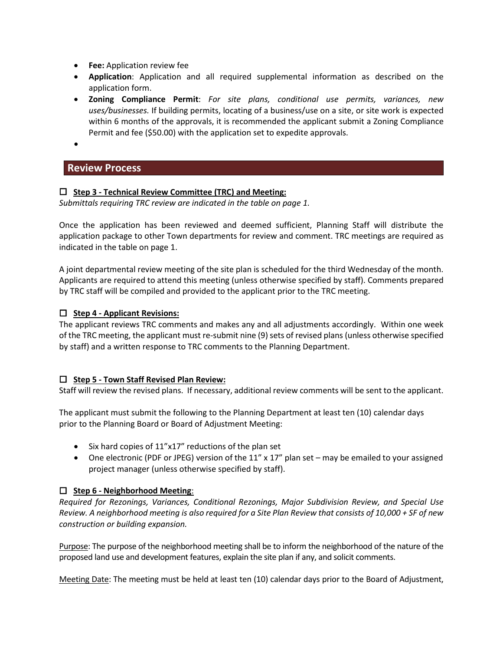- **Fee:** Application review fee
- **Application**: Application and all required supplemental information as described on the application form.
- **Zoning Compliance Permit**: *For site plans, conditional use permits, variances, new uses/businesses.* If building permits, locating of a business/use on a site, or site work is expected within 6 months of the approvals, it is recommended the applicant submit a Zoning Compliance Permit and fee (\$50.00) with the application set to expedite approvals.

•

# **Review Process**

## **Step 3 - Technical Review Committee (TRC) and Meeting:**

*Submittals requiring TRC review are indicated in the table on page 1.* 

Once the application has been reviewed and deemed sufficient, Planning Staff will distribute the application package to other Town departments for review and comment. TRC meetings are required as indicated in the table on page 1.

A joint departmental review meeting of the site plan is scheduled for the third Wednesday of the month. Applicants are required to attend this meeting (unless otherwise specified by staff). Comments prepared by TRC staff will be compiled and provided to the applicant prior to the TRC meeting.

## **Step 4 - Applicant Revisions:**

The applicant reviews TRC comments and makes any and all adjustments accordingly. Within one week of the TRC meeting, the applicant must re-submit nine (9) sets of revised plans(unless otherwise specified by staff) and a written response to TRC comments to the Planning Department.

#### **Step 5 - Town Staff Revised Plan Review:**

Staff will review the revised plans. If necessary, additional review comments will be sent to the applicant.

The applicant must submit the following to the Planning Department at least ten (10) calendar days prior to the Planning Board or Board of Adjustment Meeting:

- Six hard copies of 11"x17" reductions of the plan set
- One electronic (PDF or JPEG) version of the 11" x 17" plan set may be emailed to your assigned project manager (unless otherwise specified by staff).

# **Step 6 - Neighborhood Meeting**:

*Required for Rezonings, Variances, Conditional Rezonings, Major Subdivision Review, and Special Use Review. A neighborhood meeting is also required for a Site Plan Review that consists of 10,000 + SF of new construction or building expansion.*

Purpose: The purpose of the neighborhood meeting shall be to inform the neighborhood of the nature of the proposed land use and development features, explain the site plan if any, and solicit comments.

Meeting Date: The meeting must be held at least ten (10) calendar days prior to the Board of Adjustment,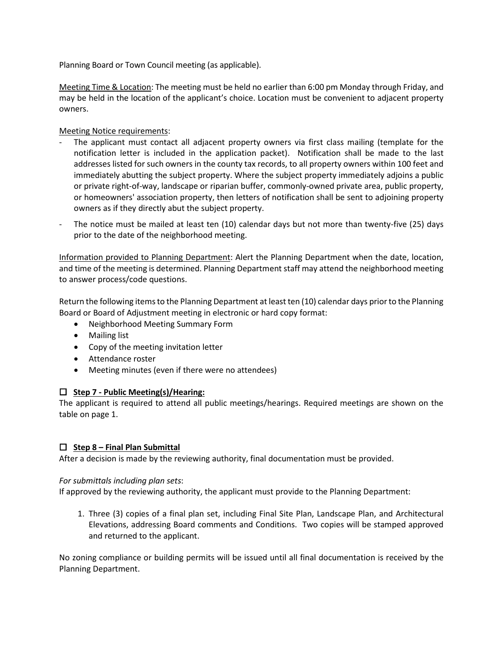Planning Board or Town Council meeting (as applicable).

Meeting Time & Location: The meeting must be held no earlier than 6:00 pm Monday through Friday, and may be held in the location of the applicant's choice. Location must be convenient to adjacent property owners.

Meeting Notice requirements:

- The applicant must contact all adjacent property owners via first class mailing (template for the notification letter is included in the application packet). Notification shall be made to the last addresses listed for such owners in the county tax records, to all property owners within 100 feet and immediately abutting the subject property. Where the subject property immediately adjoins a public or private right-of-way, landscape or riparian buffer, commonly-owned private area, public property, or homeowners' association property, then letters of notification shall be sent to adjoining property owners as if they directly abut the subject property.
- The notice must be mailed at least ten (10) calendar days but not more than twenty-five (25) days prior to the date of the neighborhood meeting.

Information provided to Planning Department: Alert the Planning Department when the date, location, and time of the meeting is determined. Planning Department staff may attend the neighborhood meeting to answer process/code questions.

Return the following itemsto the Planning Department at least ten (10) calendar days prior to the Planning Board or Board of Adjustment meeting in electronic or hard copy format:

- Neighborhood Meeting Summary Form
- Mailing list
- Copy of the meeting invitation letter
- Attendance roster
- Meeting minutes (even if there were no attendees)

# **Step 7 - Public Meeting(s)/Hearing:**

The applicant is required to attend all public meetings/hearings. Required meetings are shown on the table on page 1.

#### **Step 8 – Final Plan Submittal**

After a decision is made by the reviewing authority, final documentation must be provided.

#### *For submittals including plan sets*:

If approved by the reviewing authority, the applicant must provide to the Planning Department:

1. Three (3) copies of a final plan set, including Final Site Plan, Landscape Plan, and Architectural Elevations, addressing Board comments and Conditions. Two copies will be stamped approved and returned to the applicant.

No zoning compliance or building permits will be issued until all final documentation is received by the Planning Department.